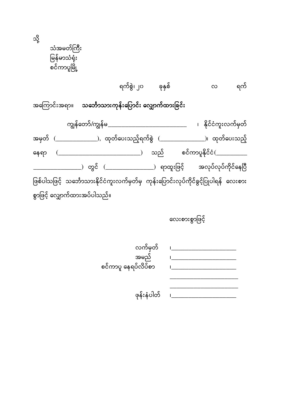သံအမတ်ကြီး မြန်မာသံရုံး စင်ကာပူမြို့

သ

|                                                     |                                                                                      |  |  | $\infty$ |                     |
|-----------------------------------------------------|--------------------------------------------------------------------------------------|--|--|----------|---------------------|
| အကြောင်းအရာ။ သင်္ဘောသားကုန်းပြောင်း လျှောက်ထားခြင်း |                                                                                      |  |  |          |                     |
|                                                     | ကျွန်တော်/ကျွန်မ _______________________________                                     |  |  |          | ၊ နိုင်ငံကူးလက်မှတ် |
|                                                     | အမှတ် (_______________), ထုတ်ပေးသည့်ရက်စွဲ (_________________)၊ ထုတ်ပေးသည့်          |  |  |          |                     |
| နေရာ                                                |                                                                                      |  |  |          |                     |
|                                                     | __) တွင် (________________) ရာထူးဖြင့်     အလုပ်လုပ်ကိုင်နေပြီ                       |  |  |          |                     |
|                                                     | ဖြစ်ပါသဖြင့် သင်္ဘောသားနိုင်ငံကူးလက်မှတ်မှ ကုန်းပြောင်းလုပ်ကိုင်ခွင့်ပြုပါရန် လေးစား |  |  |          |                     |
|                                                     | စွာဖြင့် လျှောက်ထားအပ်ပါသည်။                                                         |  |  |          |                     |

လေးစားစွာဖြင့်